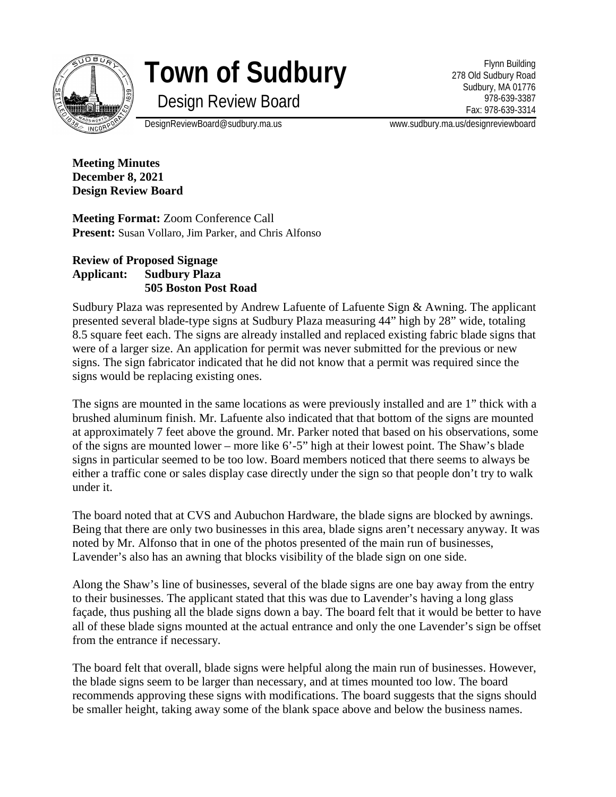

# **Town of Sudbury**

Design Review Board

Flynn Building 278 Old Sudbury Road Sudbury, MA 01776 978-639-3387 Fax: 978-639-3314

DesignReviewBoard@sudbury.ma.us www.sudbury.ma.us/designreviewboard

**Meeting Minutes December 8, 2021 Design Review Board**

**Meeting Format:** Zoom Conference Call **Present:** Susan Vollaro, Jim Parker, and Chris Alfonso

## **Review of Proposed Signage Applicant: Sudbury Plaza 505 Boston Post Road**

Sudbury Plaza was represented by Andrew Lafuente of Lafuente Sign & Awning. The applicant presented several blade-type signs at Sudbury Plaza measuring 44" high by 28" wide, totaling 8.5 square feet each. The signs are already installed and replaced existing fabric blade signs that were of a larger size. An application for permit was never submitted for the previous or new signs. The sign fabricator indicated that he did not know that a permit was required since the signs would be replacing existing ones.

The signs are mounted in the same locations as were previously installed and are 1" thick with a brushed aluminum finish. Mr. Lafuente also indicated that that bottom of the signs are mounted at approximately 7 feet above the ground. Mr. Parker noted that based on his observations, some of the signs are mounted lower – more like 6'-5" high at their lowest point. The Shaw's blade signs in particular seemed to be too low. Board members noticed that there seems to always be either a traffic cone or sales display case directly under the sign so that people don't try to walk under it.

The board noted that at CVS and Aubuchon Hardware, the blade signs are blocked by awnings. Being that there are only two businesses in this area, blade signs aren't necessary anyway. It was noted by Mr. Alfonso that in one of the photos presented of the main run of businesses, Lavender's also has an awning that blocks visibility of the blade sign on one side.

Along the Shaw's line of businesses, several of the blade signs are one bay away from the entry to their businesses. The applicant stated that this was due to Lavender's having a long glass façade, thus pushing all the blade signs down a bay. The board felt that it would be better to have all of these blade signs mounted at the actual entrance and only the one Lavender's sign be offset from the entrance if necessary.

The board felt that overall, blade signs were helpful along the main run of businesses. However, the blade signs seem to be larger than necessary, and at times mounted too low. The board recommends approving these signs with modifications. The board suggests that the signs should be smaller height, taking away some of the blank space above and below the business names.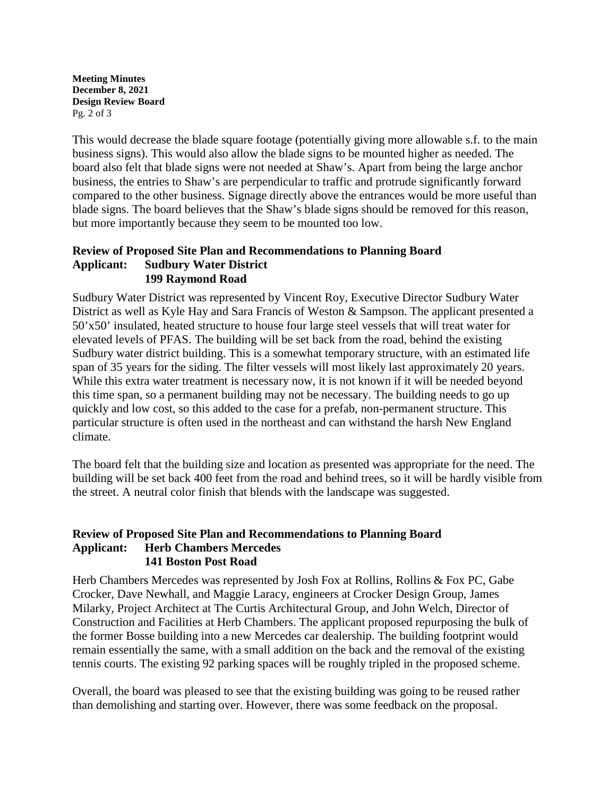**Meeting Minutes December 8, 2021 Design Review Board** Pg. 2 of 3

This would decrease the blade square footage (potentially giving more allowable s.f. to the main business signs). This would also allow the blade signs to be mounted higher as needed. The board also felt that blade signs were not needed at Shaw's. Apart from being the large anchor business, the entries to Shaw's are perpendicular to traffic and protrude significantly forward compared to the other business. Signage directly above the entrances would be more useful than blade signs. The board believes that the Shaw's blade signs should be removed for this reason, but more importantly because they seem to be mounted too low.

### **Review of Proposed Site Plan and Recommendations to Planning Board Applicant: Sudbury Water District 199 Raymond Road**

Sudbury Water District was represented by Vincent Roy, Executive Director Sudbury Water District as well as Kyle Hay and Sara Francis of Weston & Sampson. The applicant presented a 50'x50' insulated, heated structure to house four large steel vessels that will treat water for elevated levels of PFAS. The building will be set back from the road, behind the existing Sudbury water district building. This is a somewhat temporary structure, with an estimated life span of 35 years for the siding. The filter vessels will most likely last approximately 20 years. While this extra water treatment is necessary now, it is not known if it will be needed beyond this time span, so a permanent building may not be necessary. The building needs to go up quickly and low cost, so this added to the case for a prefab, non-permanent structure. This particular structure is often used in the northeast and can withstand the harsh New England climate.

The board felt that the building size and location as presented was appropriate for the need. The building will be set back 400 feet from the road and behind trees, so it will be hardly visible from the street. A neutral color finish that blends with the landscape was suggested.

### **Review of Proposed Site Plan and Recommendations to Planning Board Applicant: Herb Chambers Mercedes 141 Boston Post Road**

Herb Chambers Mercedes was represented by Josh Fox at Rollins, Rollins & Fox PC, Gabe Crocker, Dave Newhall, and Maggie Laracy, engineers at Crocker Design Group, James Milarky, Project Architect at The Curtis Architectural Group, and John Welch, Director of Construction and Facilities at Herb Chambers. The applicant proposed repurposing the bulk of the former Bosse building into a new Mercedes car dealership. The building footprint would remain essentially the same, with a small addition on the back and the removal of the existing tennis courts. The existing 92 parking spaces will be roughly tripled in the proposed scheme.

Overall, the board was pleased to see that the existing building was going to be reused rather than demolishing and starting over. However, there was some feedback on the proposal.